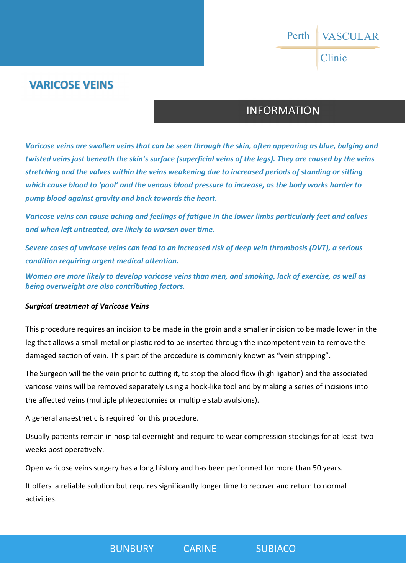VASCULAR Clinic Perth

## **VARICOSE VEINS**

## INFORMATION

*Varicose veins are swollen veins that can be seen through the skin, often appearing as blue, bulging and twisted veins just beneath the skin's surface (superficial veins of the legs). They are caused by the veins stretching and the valves within the veins weakening due to increased periods of standing or sitting which cause blood to 'pool' and the venous blood pressure to increase, as the body works harder to pump blood against gravity and back towards the heart.* 

*Varicose veins can cause aching and feelings of fatigue in the lower limbs particularly feet and calves* and when left untreated, are likely to worsen over time.

*Severe cases of varicose veins can lead to an increased risk of deep vein thrombosis (DVT), a serious condition requiring urgent medical attention.* 

*Women are more likely to develop varicose veins than men, and smoking, lack of exercise, as well as*  **being overweight are also contributing factors.** 

#### *Surgical treatment of Varicose Veins*

This procedure requires an incision to be made in the groin and a smaller incision to be made lower in the leg that allows a small metal or plastic rod to be inserted through the incompetent vein to remove the damaged section of vein. This part of the procedure is commonly known as "vein stripping".

The Surgeon will tie the vein prior to cutting it, to stop the blood flow (high ligation) and the associated varicose veins will be removed separately using a hook-like tool and by making a series of incisions into the affected veins (multiple phlebectomies or multiple stab avulsions).

A general anaesthetic is required for this procedure.

Usually patients remain in hospital overnight and require to wear compression stockings for at least two weeks post operatively.

Open varicose veins surgery has a long history and has been performed for more than 50 years.

It offers a reliable solution but requires significantly longer time to recover and return to normal activities.